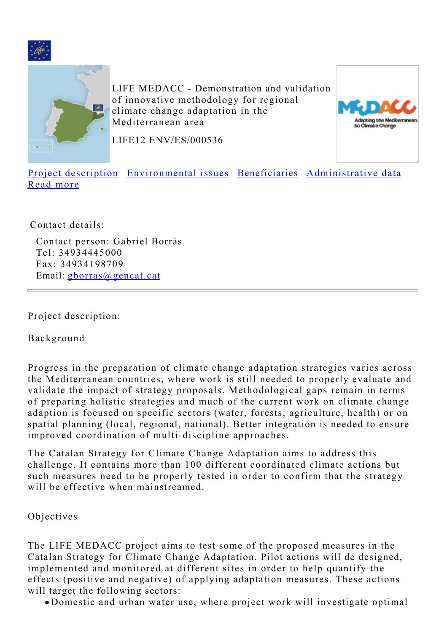<span id="page-0-1"></span>



LIFE MEDACC - Demonstration and validation of innovative methodology for regional climate change adaptation in the Mediterranean area



LIFE12 ENV/ES/000536

[Project description](#page-0-0) [Environmental issues](#page-2-0) [Beneficiaries](#page-2-1) [Administrative data](#page-2-2) [Read more](#page-3-0)

Contact details:

Contact person: Gabriel Borràs Tel: 34934445000 Fax: 34934198709 Email: [gborras@gencat.cat](mailto:gborras@gencat.cat)

<span id="page-0-0"></span>Project description:

Background

Progress in the preparation of climate change adaptation strategies varies across the Mediterranean countries, where work is still needed to properly evaluate and validate the impact of strategy proposals. Methodological gaps remain in terms of preparing holistic strategies and much of the current work on climate change adaption is focused on specific sectors (water, forests, agriculture, health) or on spatial planning (local, regional, national). Better integration is needed to ensure improved coordination of multi-discipline approaches.

The Catalan Strategy for Climate Change Adaptation aims to address this challenge. It contains more than 100 different coordinated climate actions but such measures need to be properly tested in order to confirm that the strategy will be effective when mainstreamed.

## Objectives

The LIFE MEDACC project aims to test some of the proposed measures in the Catalan Strategy for Climate Change Adaptation. Pilot actions will de designed, implemented and monitored at different sites in order to help quantify the effects (positive and negative) of applying adaptation measures. These actions will target the following sectors:

Domestic and urban water use, where project work will investigate optimal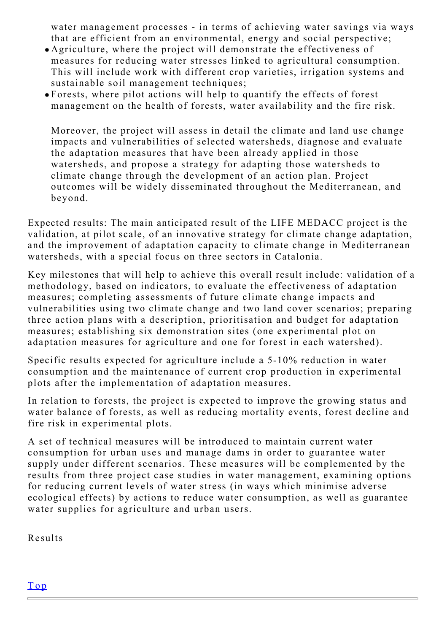water management processes - in terms of achieving water savings via ways that are efficient from an environmental, energy and social perspective;

- Agriculture, where the project will demonstrate the effectiveness of measures for reducing water stresses linked to agricultural consumption. This will include work with different crop varieties, irrigation systems and sustainable soil management techniques;
- Forests, where pilot actions will help to quantify the effects of forest management on the health of forests, water availability and the fire risk.

Moreover, the project will assess in detail the climate and land use change impacts and vulnerabilities of selected watersheds, diagnose and evaluate the adaptation measures that have been already applied in those watersheds, and propose a strategy for adapting those watersheds to climate change through the development of an action plan. Project outcomes will be widely disseminated throughout the Mediterranean, and beyond.

Expected results: The main anticipated result of the LIFE MEDACC project is the validation, at pilot scale, of an innovative strategy for climate change adaptation, and the improvement of adaptation capacity to climate change in Mediterranean watersheds, with a special focus on three sectors in Catalonia.

Key milestones that will help to achieve this overall result include: validation of a methodology, based on indicators, to evaluate the effectiveness of adaptation measures; completing assessments of future climate change impacts and vulnerabilities using two climate change and two land cover scenarios; preparing three action plans with a description, prioritisation and budget for adaptation measures; establishing six demonstration sites (one experimental plot on adaptation measures for agriculture and one for forest in each watershed).

Specific results expected for agriculture include a 5-10% reduction in water consumption and the maintenance of current crop production in experimental plots after the implementation of adaptation measures.

In relation to forests, the project is expected to improve the growing status and water balance of forests, as well as reducing mortality events, forest decline and fire risk in experimental plots.

A set of technical measures will be introduced to maintain current water consumption for urban uses and manage dams in order to guarantee water supply under different scenarios. These measures will be complemented by the results from three project case studies in water management, examining options for reducing current levels of water stress (in ways which minimise adverse ecological effects) by actions to reduce water consumption, as well as guarantee water supplies for agriculture and urban users.

Results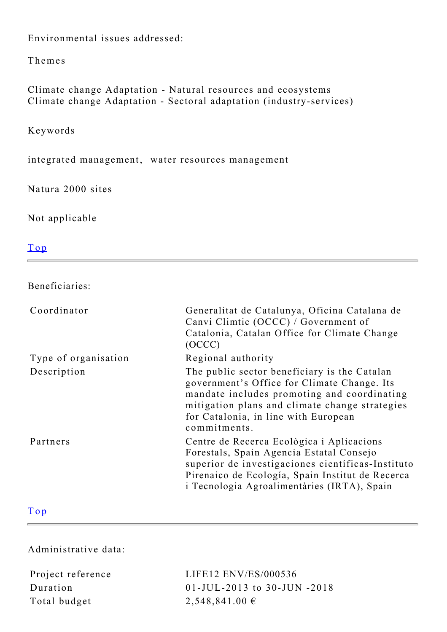<span id="page-2-0"></span>Environmental issues addressed:

Themes

Climate change Adaptation - Natural resources and ecosystems Climate change Adaptation - Sectoral adaptation (industry-services)

Keywords

integrated management, water resources management

Natura 2000 sites

Not applicable

[Top](#page-0-1)

<span id="page-2-1"></span>Beneficiaries:

| Coordinator          | Generalitat de Catalunya, Oficina Catalana de<br>Canvi Climtic (OCCC) / Government of<br>Catalonia, Catalan Office for Climate Change<br>(OCCC)                                                                                                      |
|----------------------|------------------------------------------------------------------------------------------------------------------------------------------------------------------------------------------------------------------------------------------------------|
| Type of organisation | Regional authority                                                                                                                                                                                                                                   |
| Description          | The public sector beneficiary is the Catalan<br>government's Office for Climate Change. Its<br>mandate includes promoting and coordinating<br>mitigation plans and climate change strategies<br>for Catalonia, in line with European<br>commitments. |
| Partners             | Centre de Recerca Ecològica i Aplicacions<br>Forestals, Spain Agencia Estatal Consejo<br>superior de investigaciones científicas-Instituto<br>Pirenaico de Ecología, Spain Institut de Recerca<br>i Tecnologia Agroalimentàries (IRTA), Spain        |

## [Top](#page-0-1)

<span id="page-2-2"></span>Administrative data:

Total budget 2,548,841.00  $\epsilon$ 

Project reference LIFE12 ENV/ES/000536 Duration 01-JUL-2013 to 30-JUN -2018